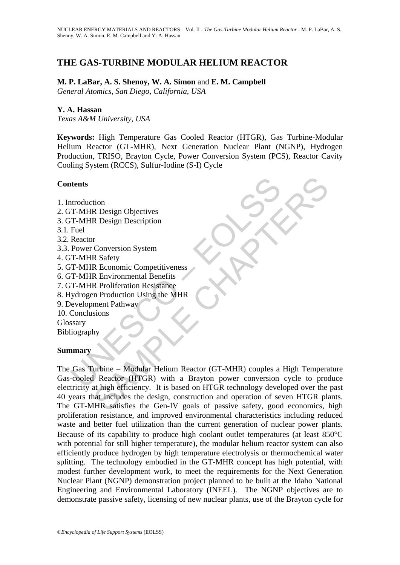# **THE GAS-TURBINE MODULAR HELIUM REACTOR**

### **M. P. LaBar, A. S. Shenoy, W. A. Simon** and **E. M. Campbell**  *General Atomics, San Diego, California, USA*

### **Y. A. Hassan**

*Texas A&M University, USA* 

**Keywords:** High Temperature Gas Cooled Reactor (HTGR), Gas Turbine-Modular Helium Reactor (GT-MHR), Next Generation Nuclear Plant (NGNP), Hydrogen Production, TRISO, Brayton Cycle, Power Conversion System (PCS), Reactor Cavity Cooling System (RCCS), Sulfur-Iodine (S-I) Cycle

### **Contents**

- 1. Introduction
- 2. GT-MHR Design Objectives
- 3. GT-MHR Design Description
- 3.1. Fuel
- 3.2. Reactor
- 3.3. Power Conversion System
- 4. GT-MHR Safety
- 5. GT-MHR Economic Competitiveness
- 6. GT-MHR Environmental Benefits
- 7. GT-MHR Proliferation Resistance
- 8. Hydrogen Production Using the MHR
- 9. Development Pathway

10. Conclusions

**Glossary** Bibliography

#### **Summary**

THE METATRIST<br>
IN THE Design Objectives<br>
THE Design Description<br>
Fuel<br>
Reactor<br>
Power Conversion System<br>
T-MHR Economic Competitiveness<br>
T-MHR Enchannel Benefits<br>
T-MHR Evelopment Pathway<br>
T-MHR Evelopment Pathway<br>
Conclus The Messign Objectives<br>
R Design Description<br>
R Stafety<br>
R Conversion System<br>
R Stafety<br>
R Economic Competitiveness<br>
R Proliferation Resistance<br>
R Proliferation Resistance<br>
In Production Using the MHR<br>
Ment Pathway<br>
sions<br> The Gas Turbine – Modular Helium Reactor (GT-MHR) couples a High Temperature Gas-cooled Reactor (HTGR) with a Brayton power conversion cycle to produce electricity at high efficiency. It is based on HTGR technology developed over the past 40 years that includes the design, construction and operation of seven HTGR plants. The GT-MHR satisfies the Gen-IV goals of passive safety, good economics, high proliferation resistance, and improved environmental characteristics including reduced waste and better fuel utilization than the current generation of nuclear power plants. Because of its capability to produce high coolant outlet temperatures (at least 850°C with potential for still higher temperature), the modular helium reactor system can also efficiently produce hydrogen by high temperature electrolysis or thermochemical water splitting. The technology embodied in the GT-MHR concept has high potential, with modest further development work, to meet the requirements for the Next Generation Nuclear Plant (NGNP) demonstration project planned to be built at the Idaho National Engineering and Environmental Laboratory (INEEL). The NGNP objectives are to demonstrate passive safety, licensing of new nuclear plants, use of the Brayton cycle for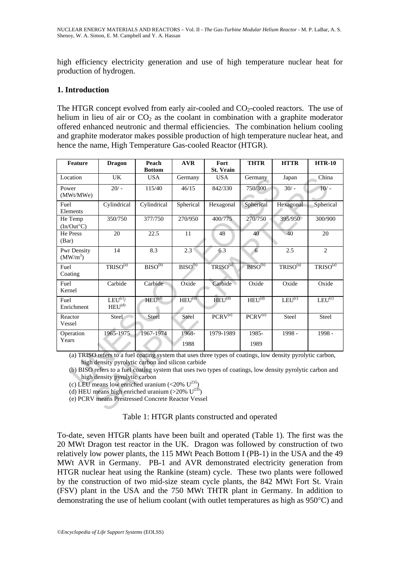high efficiency electricity generation and use of high temperature nuclear heat for production of hydrogen.

### **1. Introduction**

The HTGR concept evolved from early air-cooled and  $CO<sub>2</sub>$ -cooled reactors. The use of helium in lieu of air or  $CO<sub>2</sub>$  as the coolant in combination with a graphite moderator offered enhanced neutronic and thermal efficiencies. The combination helium cooling and graphite moderator makes possible production of high temperature nuclear heat, and hence the name, High Temperature Gas-cooled Reactor (HTGR).

| Feature                                                                                                                                                                                                                                                                                                                                                                                                                                                                               | <b>Dragon</b>                            | Peach<br><b>Bottom</b> | <b>AVR</b>         | Fort<br>St. Vrain    | <b>THTR</b>         | <b>HTTR</b>          | <b>HTR-10</b>        |
|---------------------------------------------------------------------------------------------------------------------------------------------------------------------------------------------------------------------------------------------------------------------------------------------------------------------------------------------------------------------------------------------------------------------------------------------------------------------------------------|------------------------------------------|------------------------|--------------------|----------------------|---------------------|----------------------|----------------------|
| Location                                                                                                                                                                                                                                                                                                                                                                                                                                                                              | UK                                       | <b>USA</b>             | Germany            | <b>USA</b>           | Germany             | Japan                | China                |
| Power<br>(MWt/MWe)                                                                                                                                                                                                                                                                                                                                                                                                                                                                    | $20/ -$                                  | 115/40                 | 46/15              | 842/330              | 750/300             | $30/ -$              | $10/-$               |
| Fuel<br>Elements                                                                                                                                                                                                                                                                                                                                                                                                                                                                      | Cylindrical                              | Cylindrical            | Spherical          | Hexagonal            | Spherical           | Hexagonal            | Spherical            |
| He Temp<br>$(In/Out^{\circ}C)$                                                                                                                                                                                                                                                                                                                                                                                                                                                        | 350/750                                  | 377/750                | 270/950            | 400/775              | 270/750             | 395/950              | 300/900              |
| He Press<br>(Bar)                                                                                                                                                                                                                                                                                                                                                                                                                                                                     | 20                                       | 22.5                   | 11                 | 48                   | 40                  | 40                   | 20                   |
| Pwr Density<br>(MW/m <sup>3</sup> )                                                                                                                                                                                                                                                                                                                                                                                                                                                   | 14                                       | 8.3                    | $2.3^{\circ}$      | 6.3                  | $\overline{6}$      | 2.5                  | $\mathbf{2}$         |
| Fuel<br>Coating                                                                                                                                                                                                                                                                                                                                                                                                                                                                       | TRISO <sup>(a)</sup>                     | $BISO^{(b)}$           | $BISO^{(b)}$       | TRISO <sup>(a)</sup> | BISO <sup>(b)</sup> | TRISO <sup>(a)</sup> | TRISO <sup>(a)</sup> |
| Fuel<br>Kernel                                                                                                                                                                                                                                                                                                                                                                                                                                                                        | Carbide                                  | Carbide                | Oxide              | Carbide              | Oxide               | Oxide                | Oxide                |
| Fuel<br>Enrichment                                                                                                                                                                                                                                                                                                                                                                                                                                                                    | LEU <sup>(c)</sup><br>HEU <sup>(d)</sup> | $HEU^{(d)}$            | HEU <sup>(d)</sup> | HEU <sup>(d)</sup>   | HEU <sup>(d)</sup>  | LEU <sup>(c)</sup>   | LEU <sup>(c)</sup>   |
| Reactor<br>Vessel                                                                                                                                                                                                                                                                                                                                                                                                                                                                     | Steel                                    | Steel                  | Steel              | PCRV <sup>(e)</sup>  | PCRV <sup>(e)</sup> | Steel                | Steel                |
| Operation<br>Years                                                                                                                                                                                                                                                                                                                                                                                                                                                                    | 1965-1975                                | 1967-1974              | 1968-<br>1988      | 1979-1989            | 1985-<br>1989       | 1998 -               | 1998 -               |
| (a) TRISO refers to a fuel coating system that uses three types of coatings, low density pyrolytic carbon,<br>high density pyrolytic carbon and silicon carbide<br>(b) BISO refers to a fuel coating system that uses two types of coatings, low density pyrolytic carbon and<br>high density pyrolytic carbon<br>(c) LEU means low enriched uranium (<20% $U^{235}$ )<br>(d) HEU means high enriched uranium (>20% $U^{235}$ )<br>(e) PCRV means Prestressed Concrete Reactor Vessel |                                          |                        |                    |                      |                     |                      |                      |

#### Table 1: HTGR plants constructed and operated

To-date, seven HTGR plants have been built and operated (Table 1). The first was the 20 MWt Dragon test reactor in the UK. Dragon was followed by construction of two relatively low power plants, the 115 MWt Peach Bottom I (PB-1) in the USA and the 49 MWt AVR in Germany. PB-1 and AVR demonstrated electricity generation from HTGR nuclear heat using the Rankine (steam) cycle. These two plants were followed by the construction of two mid-size steam cycle plants, the 842 MWt Fort St. Vrain (FSV) plant in the USA and the 750 MWt THTR plant in Germany. In addition to demonstrating the use of helium coolant (with outlet temperatures as high as 950°C) and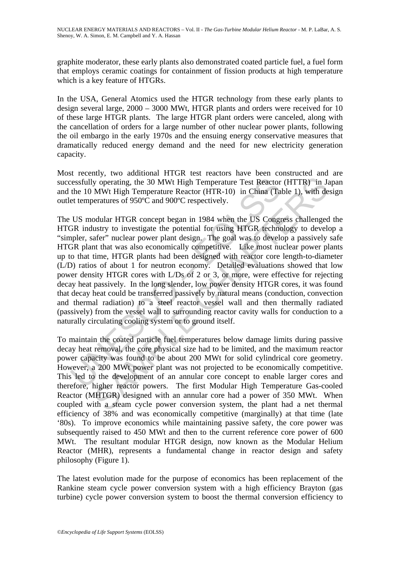graphite moderator, these early plants also demonstrated coated particle fuel, a fuel form that employs ceramic coatings for containment of fission products at high temperature which is a key feature of HTGRs.

In the USA, General Atomics used the HTGR technology from these early plants to design several large, 2000 – 3000 MWt, HTGR plants and orders were received for 10 of these large HTGR plants. The large HTGR plant orders were canceled, along with the cancellation of orders for a large number of other nuclear power plants, following the oil embargo in the early 1970s and the ensuing energy conservative measures that dramatically reduced energy demand and the need for new electricity generation capacity.

Most recently, two additional HTGR test reactors have been constructed and are successfully operating, the 30 MWt High Temperature Test Reactor (HTTR) in Japan and the 10 MWt High Temperature Reactor (HTR-10) in China (Table 1), with design outlet temperatures of 950ºC and 900ºC respectively.

essfully operating, the 30 MWt High Temperature Test Reactor<br>the 10 MWt High Temperature Reactor (HTR-10) in China (Ta<br>et temperatures of 950°C and 900°C respectively.<br>US modular HTGR concept began in 1984 when the US Cong y operating, the 30 MWt High Temperature Test Reactor (HTTR) in Ja<br>MWt High Temperature Test Reactor (HTTR) in Ja<br>MWt High Temperature Reactor (HTR-10) in China (Table 1), with de<br>peratures of 950°C and 900°C respectively. The US modular HTGR concept began in 1984 when the US Congress challenged the HTGR industry to investigate the potential for using HTGR technology to develop a "simpler, safer" nuclear power plant design. The goal was to develop a passively safe HTGR plant that was also economically competitive. Like most nuclear power plants up to that time, HTGR plants had been designed with reactor core length-to-diameter (L/D) ratios of about 1 for neutron economy. Detailed evaluations showed that low power density HTGR cores with L/Ds of 2 or 3, or more, were effective for rejecting decay heat passively. In the long slender, low power density HTGR cores, it was found that decay heat could be transferred passively by natural means (conduction, convection and thermal radiation) to a steel reactor vessel wall and then thermally radiated (passively) from the vessel wall to surrounding reactor cavity walls for conduction to a naturally circulating cooling system or to ground itself.

To maintain the coated particle fuel temperatures below damage limits during passive decay heat removal, the core physical size had to be limited, and the maximum reactor power capacity was found to be about 200 MWt for solid cylindrical core geometry. However, a 200 MWt power plant was not projected to be economically competitive. This led to the development of an annular core concept to enable larger cores and therefore, higher reactor powers. The first Modular High Temperature Gas-cooled Reactor (MHTGR) designed with an annular core had a power of 350 MWt. When coupled with a steam cycle power conversion system, the plant had a net thermal efficiency of 38% and was economically competitive (marginally) at that time (late '80s). To improve economics while maintaining passive safety, the core power was subsequently raised to 450 MWt and then to the current reference core power of 600 MWt. The resultant modular HTGR design, now known as the Modular Helium Reactor (MHR), represents a fundamental change in reactor design and safety philosophy (Figure 1).

The latest evolution made for the purpose of economics has been replacement of the Rankine steam cycle power conversion system with a high efficiency Brayton (gas turbine) cycle power conversion system to boost the thermal conversion efficiency to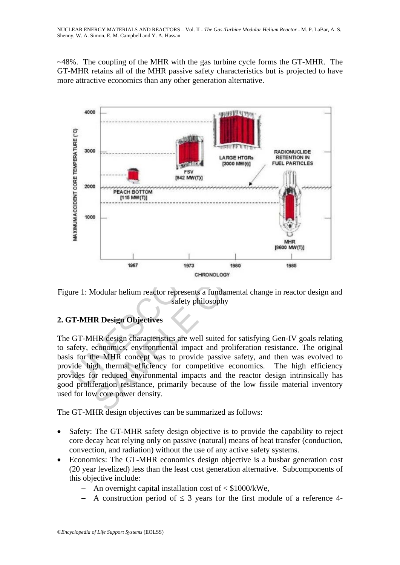~48%. The coupling of the MHR with the gas turbine cycle forms the GT-MHR. The GT-MHR retains all of the MHR passive safety characteristics but is projected to have more attractive economics than any other generation alternative.



Figure 1: Modular helium reactor represents a fundamental change in reactor design and safety philosophy

### **2. GT-MHR Design Objectives**

The GT-MHR design characteristics are well suited for satisfying Gen-IV goals relating to safety, economics, environmental impact and proliferation resistance. The original basis for the MHR concept was to provide passive safety, and then was evolved to provide high thermal efficiency for competitive economics. The high efficiency provides for reduced environmental impacts and the reactor design intrinsically has good proliferation resistance, primarily because of the low fissile material inventory used for low core power density.

The GT-MHR design objectives can be summarized as follows:

- Safety: The GT-MHR safety design objective is to provide the capability to reject core decay heat relying only on passive (natural) means of heat transfer (conduction, convection, and radiation) without the use of any active safety systems.
- Economics: The GT-MHR economics design objective is a busbar generation cost (20 year levelized) less than the least cost generation alternative. Subcomponents of this objective include:
	- − An overnight capital installation cost of < \$1000/kWe,
	- A construction period of  $\leq$  3 years for the first module of a reference 4-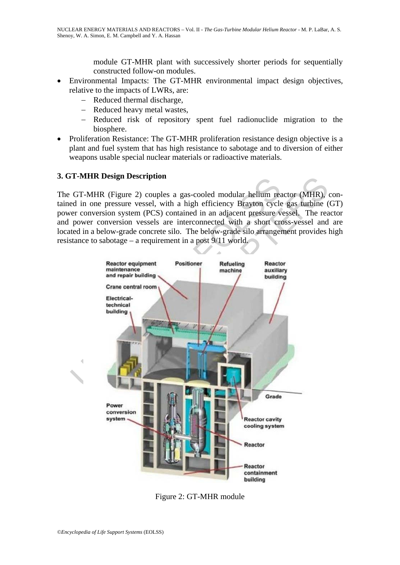module GT-MHR plant with successively shorter periods for sequentially constructed follow-on modules.

- Environmental Impacts: The GT-MHR environmental impact design objectives, relative to the impacts of LWRs, are:
	- − Reduced thermal discharge,
	- − Reduced heavy metal wastes,
	- − Reduced risk of repository spent fuel radionuclide migration to the biosphere.
- Proliferation Resistance: The GT-MHR proliferation resistance design objective is a plant and fuel system that has high resistance to sabotage and to diversion of either weapons usable special nuclear materials or radioactive materials.

### **3. GT-MHR Design Description**

The GT-MHR (Figure 2) couples a gas-cooled modular helium reactor (MHR), contained in one pressure vessel, with a high efficiency Brayton cycle gas turbine (GT) power conversion system (PCS) contained in an adjacent pressure vessel. The reactor and power conversion vessels are interconnected with a short cross-vessel and are located in a below-grade concrete silo. The below-grade silo arrangement provides high resistance to sabotage – a requirement in a post 9/11 world.



Figure 2: GT-MHR module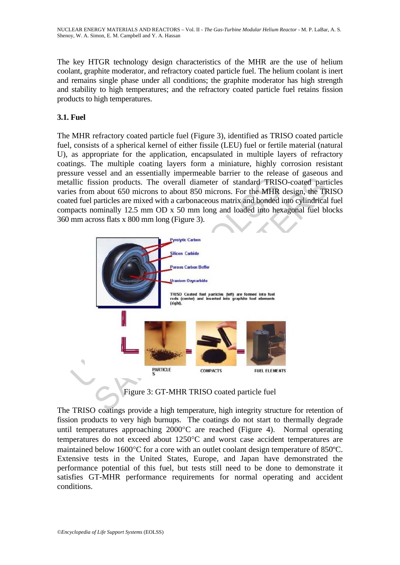The key HTGR technology design characteristics of the MHR are the use of helium coolant, graphite moderator, and refractory coated particle fuel. The helium coolant is inert and remains single phase under all conditions; the graphite moderator has high strength and stability to high temperatures; and the refractory coated particle fuel retains fission products to high temperatures.

### **3.1. Fuel**

The MHR refractory coated particle fuel (Figure 3), identified as TRISO coated particle fuel, consists of a spherical kernel of either fissile (LEU) fuel or fertile material (natural U), as appropriate for the application, encapsulated in multiple layers of refractory coatings. The multiple coating layers form a miniature, highly corrosion resistant pressure vessel and an essentially impermeable barrier to the release of gaseous and metallic fission products. The overall diameter of standard TRISO-coated particles varies from about 650 microns to about 850 microns. For the MHR design, the TRISO coated fuel particles are mixed with a carbonaceous matrix and bonded into cylindrical fuel compacts nominally 12.5 mm OD x 50 mm long and loaded into hexagonal fuel blocks 360 mm across flats x 800 mm long (Figure 3).



Figure 3: GT-MHR TRISO coated particle fuel

The TRISO coatings provide a high temperature, high integrity structure for retention of fission products to very high burnups. The coatings do not start to thermally degrade until temperatures approaching 2000°C are reached (Figure 4). Normal operating temperatures do not exceed about 1250°C and worst case accident temperatures are maintained below 1600°C for a core with an outlet coolant design temperature of 850ºC. Extensive tests in the United States, Europe, and Japan have demonstrated the performance potential of this fuel, but tests still need to be done to demonstrate it satisfies GT-MHR performance requirements for normal operating and accident conditions.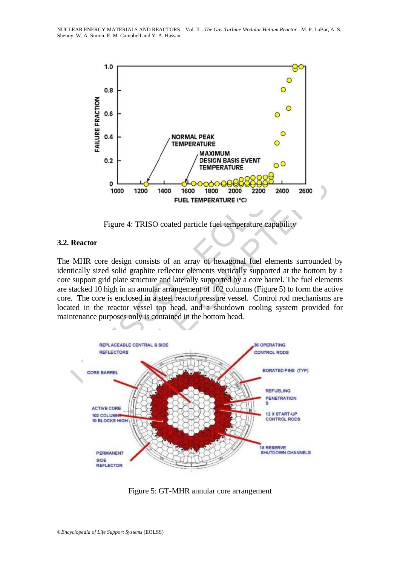

Figure 4: TRISO coated particle fuel temperature capability

### **3.2. Reactor**

1000 1200 1400 1600 1800 2000 2200 24<br>
FUEL TEMPERATURE (°C)<br>
FIGURE 1 TRISO COATED 1600 1800 2000 2200 24<br>
FUEL TEMPERATURE (°C)<br>
FIGURE 1778 COATED 101 and a straight of the straight star of the straight star of the star The MHR core design consists of an array of hexagonal fuel elements surrounded by identically sized solid graphite reflector elements vertically supported at the bottom by a core support grid plate structure and laterally supported by a core barrel. The fuel elements are stacked 10 high in an annular arrangement of 102 columns (Figure 5) to form the active core. The core is enclosed in a steel reactor pressure vessel. Control rod mechanisms are located in the reactor vessel top head, and a shutdown cooling system provided for maintenance purposes only is contained in the bottom head.



Figure 5: GT-MHR annular core arrangement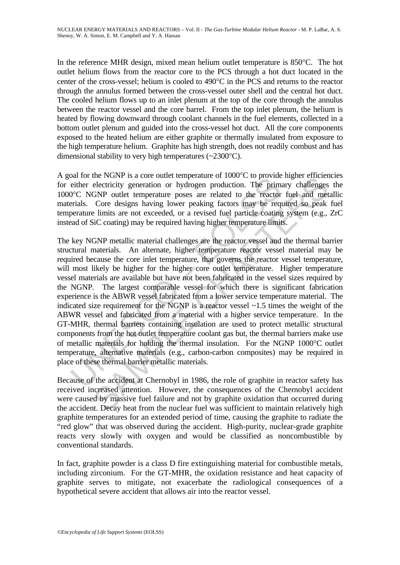In the reference MHR design, mixed mean helium outlet temperature is 850°C. The hot outlet helium flows from the reactor core to the PCS through a hot duct located in the center of the cross-vessel; helium is cooled to 490°C in the PCS and returns to the reactor through the annulus formed between the cross-vessel outer shell and the central hot duct. The cooled helium flows up to an inlet plenum at the top of the core through the annulus between the reactor vessel and the core barrel. From the top inlet plenum, the helium is heated by flowing downward through coolant channels in the fuel elements, collected in a bottom outlet plenum and guided into the cross-vessel hot duct. All the core components exposed to the heated helium are either graphite or thermally insulated from exposure to the high temperature helium. Graphite has high strength, does not readily combust and has dimensional stability to very high temperatures (~2300°C).

A goal for the NGNP is a core outlet temperature of  $1000^{\circ}$ C to provide higher efficiencies for either electricity generation or hydrogen production. The primary challenges the 1000°C NGNP outlet temperature poses are related to the reactor fuel and metallic materials. Core designs having lower peaking factors may be required so peak fuel temperature limits are not exceeded, or a revised fuel particle coating system (e.g., ZrC instead of SiC coating) may be required having higher temperature limits.

oa for the Norwir is a close to the temperature of toot C to provide<br>either electricity generation or hydrogen production. The prim<br>o<sup>2</sup>C NGNP outlet temperature poses are related to the reactor<br>erials. Core designs havin the NOWE of the distance of those of the present emperature of the converts are converted at Chernoty eneration or hydrogen production. The primary challenges GNP outed temperature poses are related to the reactor fuel an The key NGNP metallic material challenges are the reactor vessel and the thermal barrier structural materials. An alternate, higher temperature reactor vessel material may be required because the core inlet temperature, that governs the reactor vessel temperature, will most likely be higher for the higher core outlet temperature. Higher temperature vessel materials are available but have not been fabricated in the vessel sizes required by the NGNP. The largest comparable vessel for which there is significant fabrication experience is the ABWR vessel fabricated from a lower service temperature material. The indicated size requirement for the NGNP is a reactor vessel ~1.5 times the weight of the ABWR vessel and fabricated from a material with a higher service temperature. In the GT-MHR, thermal barriers containing insulation are used to protect metallic structural components from the hot outlet temperature coolant gas but, the thermal barriers make use of metallic materials for holding the thermal insulation. For the NGNP 1000°C outlet temperature, alternative materials (e.g., carbon-carbon composites) may be required in place of these thermal barrier metallic materials.

Because of the accident at Chernobyl in 1986, the role of graphite in reactor safety has received increased attention. However, the consequences of the Chernobyl accident were caused by massive fuel failure and not by graphite oxidation that occurred during the accident. Decay heat from the nuclear fuel was sufficient to maintain relatively high graphite temperatures for an extended period of time, causing the graphite to radiate the "red glow" that was observed during the accident. High-purity, nuclear-grade graphite reacts very slowly with oxygen and would be classified as noncombustible by conventional standards.

In fact, graphite powder is a class D fire extinguishing material for combustible metals, including zirconium. For the GT-MHR, the oxidation resistance and heat capacity of graphite serves to mitigate, not exacerbate the radiological consequences of a hypothetical severe accident that allows air into the reactor vessel.